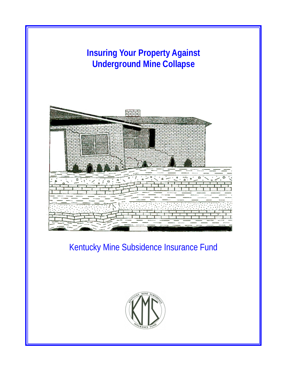

Kentucky Mine Subsidence Insurance Fund

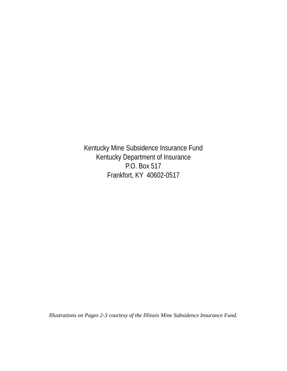Kentucky Mine Subsidence Insurance Fund Kentucky Department of Insurance P.O. Box 517 Frankfort, KY 40602-0517

*Illustrations on Pages 2-3 courtesy of the Illinois Mine Subsidence Insurance Fund.*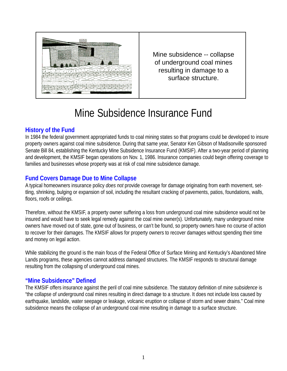

Mine subsidence -- collapse of underground coal mines resulting in damage to a surface structure.

# Mine Subsidence Insurance Fund

# **History of the Fund**

In 1984 the federal government appropriated funds to coal mining states so that programs could be developed to insure property owners against coal mine subsidence. During that same year, Senator Ken Gibson of Madisonville sponsored Senate Bill 84, establishing the Kentucky Mine Subsidence Insurance Fund (KMSIF). After a two-year period of planning and development, the KMSIF began operations on Nov. 1, 1986. Insurance companies could begin offering coverage to families and businesses whose property was at risk of coal mine subsidence damage.

# **Fund Covers Damage Due to Mine Collapse**

A typical homeowners insurance policy *does not* provide coverage for damage originating from earth movement, settling, shrinking, bulging or expansion of soil, including the resultant cracking of pavements, patios, foundations, walls, floors, roofs or ceilings.

Therefore, without the KMSIF, a property owner suffering a loss from underground coal mine subsidence would not be insured and would have to seek legal remedy against the coal mine owner(s). Unfortunately, many underground mine owners have moved out of state, gone out of business, or can't be found, so property owners have no course of action to recover for their damages. The KMSIF allows for property owners to recover damages without spending their time and money on legal action.

While stabilizing the ground is the main focus of the Federal Office of Surface Mining and Kentucky's Abandoned Mine Lands programs, these agencies cannot address damaged structures. The KMSIF responds to structural damage resulting from the collapsing of underground coal mines.

# **"Mine Subsidence" Defined**

The KMSIF offers insurance against the peril of coal mine subsidence. The statutory definition of *mine subsidence* is "the collapse of underground coal mines resulting in direct damage to a structure. It does not include loss caused by earthquake, landslide, water seepage or leakage, volcanic eruption or collapse of storm and sewer drains." Coal mine subsidence means the collapse of an underground coal mine resulting in damage to a surface structure.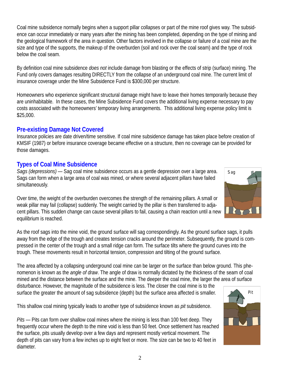Coal mine subsidence normally begins when a support pillar collapses or part of the mine roof gives way. The subsidence can occur immediately or many years after the mining has been completed, depending on the type of mining and the geological framework of the area in question. Other factors involved in the collapse or failure of a coal mine are the size and type of the supports, the makeup of the overburden (soil and rock over the coal seam) and the type of rock below the coal seam.

By definition coal mine subsidence *does not* include damage from blasting or the effects of strip (surface) mining. The Fund only covers damages resulting DIRECTLY from the collapse of an underground coal mine. The current limit of insurance coverage under the Mine Subsidence Fund is \$300,000 per structure.

Homeowners who experience significant structural damage might have to leave their homes temporarily because they are uninhabitable. In these cases, the Mine Subsidence Fund covers the additional living expense necessary to pay costs associated with the homeowners' temporary living arrangements. This additional living expense policy limit is \$25,000.

# **Pre-existing Damage Not Covered**

Insurance policies are date driven/time sensitive. If coal mine subsidence damage has taken place before creation of KMSIF (1987) or before insurance coverage became effective on a structure, then no coverage can be provided for those damages.

# **Types of Coal Mine Subsidence**

*Sags (depressions)* — Sag coal mine subsidence occurs as a gentle depression over a large area. Sags can form when a large area of coal was mined, or where several adjacent pillars have failed simultaneously.

Over time, the weight of the overburden overcomes the strength of the remaining pillars. A small or weak pillar may fail (collapse) suddenly. The weight carried by the pillar is then transferred to adjacent pillars. This sudden change can cause several pillars to fail, causing a chain reaction until a new equilibrium is reached.

As the roof sags into the mine void, the ground surface will sag correspondingly. As the ground surface sags, it pulls away from the edge of the trough and creates tension cracks around the perimeter. Subsequently, the ground is compressed in the center of the trough and a small ridge can form. The surface tilts where the ground curves into the trough. These movements result in horizontal tension, compression and tilting of the ground surface.

The area affected by a collapsing underground coal mine can be larger on the surface than below ground. This phenomenon is known as the *angle of draw*. The angle of draw is normally dictated by the thickness of the seam of coal mined and the distance between the surface and the mine. The deeper the coal mine, the larger the area of surface

disturbance. However, the magnitude of the subsidence is less. The closer the coal mine is to the surface the greater the amount of sag subsidence (depth) but the surface area affected is smaller.

This shallow coal mining typically leads to another type of subsidence known as *pit* subsidence.

*Pits* — Pits can form over shallow coal mines where the mining is less than 100 feet deep. They frequently occur where the depth to the mine void is less than 50 feet. Once settlement has reached the surface, pits usually develop over a few days and represent mostly vertical movement. The depth of pits can vary from a few inches up to eight feet or more. The size can be two to 40 feet in diameter.



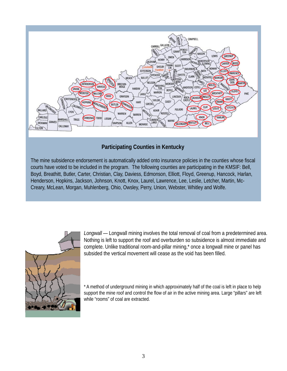

#### **Participating Counties in Kentucky**

The mine subsidence endorsement is automatically added onto insurance policies in the counties whose fiscal courts have voted to be included in the program. The following counties are participating in the KMSIF: Bell, Boyd, Breathitt, Butler, Carter, Christian, Clay, Daviess, Edmonson, Elliott, Floyd, Greenup, Hancock, Harlan, Henderson, Hopkins, Jackson, Johnson, Knott, Knox, Laurel, Lawrence, Lee, Leslie, Letcher, Martin, Mc-Creary, McLean, Morgan, Muhlenberg, Ohio, Owsley, Perry, Union, Webster, Whitley and Wolfe.



*Longwall* — Longwall mining involves the total removal of coal from a predetermined area. Nothing is left to support the roof and overburden so subsidence is almost immediate and complete. Unlike traditional room-and-pillar mining,\* once a longwall mine or panel has subsided the vertical movement will cease as the void has been filled.

\* A method of underground mining in which approximately half of the coal is left in place to help support the mine roof and control the flow of air in the active mining area. Large "pillars" are left while "rooms" of coal are extracted.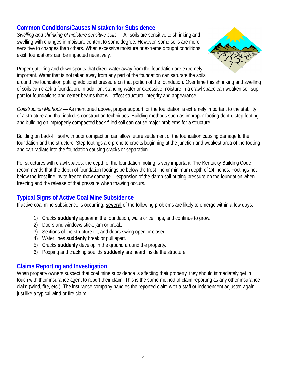# **Common Conditions/Causes Mistaken for Subsidence**

*Swelling and shrinking of moisture sensitive soils* — All soils are sensitive to shrinking and swelling with changes in moisture content to some degree. However, some soils are more sensitive to changes than others. When excessive moisture or extreme drought conditions exist, foundations can be impacted negatively.



Proper guttering and down spouts that direct water away from the foundation are extremely important. Water that is not taken away from any part of the foundation can saturate the soils

around the foundation putting additional pressure on that portion of the foundation. Over time this shrinking and swelling of soils can crack a foundation. In addition, standing water or excessive moisture in a crawl space can weaken soil support for foundations and center beams that will affect structural integrity and appearance.

*Construction Methods* — As mentioned above, proper support for the foundation is extremely important to the stability of a structure and that includes construction techniques. Building methods such as improper footing depth, step footing and building on improperly compacted back-filled soil can cause major problems for a structure.

Building on back-fill soil with poor compaction can allow future settlement of the foundation causing damage to the foundation and the structure. Step footings are prone to cracks beginning at the junction and weakest area of the footing and can radiate into the foundation causing cracks or separation.

For structures with crawl spaces, the depth of the foundation footing is very important. The Kentucky Building Code recommends that the depth of foundation footings be below the frost line or minimum depth of 24 inches. Footings not below the frost line invite freeze-thaw damage -- expansion of the damp soil putting pressure on the foundation when freezing and the release of that pressure when thawing occurs.

# **Typical Signs of Active Coal Mine Subsidence**

If active coal mine subsidence is occurring, **several** of the following problems are likely to emerge within a few days:

- 1) Cracks **suddenly** appear in the foundation, walls or ceilings, and continue to grow.
- 2) Doors and windows stick, jam or break.
- 3) Sections of the structure tilt, and doors swing open or closed.
- 4) Water lines **suddenly** break or pull apart.
- 5) Cracks **suddenly** develop in the ground around the property.
- 6) Popping and cracking sounds **suddenly** are heard inside the structure.

# **Claims Reporting and Investigation**

When property owners suspect that coal mine subsidence is affecting their property, they should immediately get in touch with their insurance agent to report their claim. This is the same method of claim reporting as any other insurance claim (wind, fire, etc.). The insurance company handles the reported claim with a staff or independent adjuster, again, just like a typical wind or fire claim.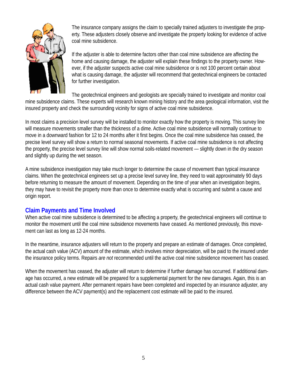

The insurance company assigns the claim to specially trained adjusters to investigate the property. These adjusters closely observe and investigate the property looking for evidence of active coal mine subsidence.

If the adjuster is able to determine factors other than coal mine subsidence are affecting the home and causing damage, the adjuster will explain these findings to the property owner. However, if the adjuster suspects active coal mine subsidence or is not 100 percent certain about what is causing damage, the adjuster will recommend that geotechnical engineers be contacted for further investigation.

The geotechnical engineers and geologists are specially trained to investigate and monitor coal mine subsidence claims. These experts will research known mining history and the area geological information, visit the insured property and check the surrounding vicinity for signs of active coal mine subsidence.

In most claims a precision level survey will be installed to monitor exactly how the property is moving. This survey line will measure movements smaller than the thickness of a dime. Active coal mine subsidence will normally continue to move in a downward fashion for 12 to 24 months after it first begins. Once the coal mine subsidence has ceased, the precise level survey will show a return to normal seasonal movements. If active coal mine subsidence is not affecting the property, the precise level survey line will show normal soils-related movement — slightly down in the dry season and slightly up during the wet season.

A mine subsidence investigation may take much longer to determine the cause of movement than typical insurance claims. When the geotechnical engineers set up a precise level survey line, they need to wait approximately 90 days before returning to measure the amount of movement. Depending on the time of year when an investigation begins, they may have to revisit the property more than once to determine exactly what is occurring and submit a cause and origin report.

# **Claim Payments and Time Involved**

When active coal mine subsidence is determined to be affecting a property, the geotechnical engineers will continue to monitor the movement until the coal mine subsidence movements have ceased. As mentioned previously, this movement can last as long as 12-24 months.

In the meantime, insurance adjusters will return to the property and prepare an estimate of damages. Once completed, the actual cash value (ACV) amount of the estimate, which involves minor depreciation, will be paid to the insured under the insurance policy terms. Repairs *are not* recommended until the active coal mine subsidence movement has ceased.

When the movement has ceased, the adjuster will return to determine if further damage has occurred. If additional damage has occurred, a new estimate will be prepared for a supplemental payment for the new damages. Again, this is an actual cash value payment. After permanent repairs have been completed and inspected by an insurance adjuster, any difference between the ACV payment(s) and the replacement cost estimate will be paid to the insured.